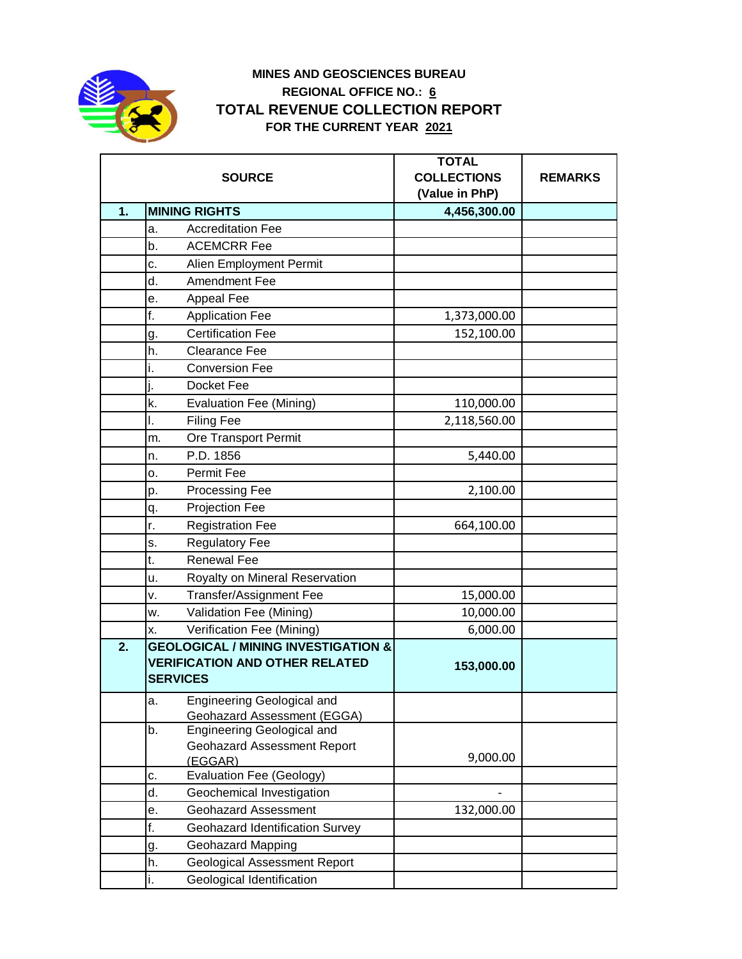

## **MINES AND GEOSCIENCES BUREAU REGIONAL OFFICE NO.: 6 TOTAL REVENUE COLLECTION REPORT FOR THE CURRENT YEAR 2021**

|    | <b>SOURCE</b>                                                                                              | <b>TOTAL</b><br><b>COLLECTIONS</b><br>(Value in PhP) | <b>REMARKS</b> |
|----|------------------------------------------------------------------------------------------------------------|------------------------------------------------------|----------------|
| 1. | <b>MINING RIGHTS</b>                                                                                       | 4,456,300.00                                         |                |
|    | <b>Accreditation Fee</b><br>a.                                                                             |                                                      |                |
|    | <b>ACEMCRR Fee</b><br>b.                                                                                   |                                                      |                |
|    | c.<br>Alien Employment Permit                                                                              |                                                      |                |
|    | Amendment Fee<br>d.                                                                                        |                                                      |                |
|    | Appeal Fee<br>е.                                                                                           |                                                      |                |
|    | f.<br><b>Application Fee</b>                                                                               | 1,373,000.00                                         |                |
|    | <b>Certification Fee</b><br>g.                                                                             | 152,100.00                                           |                |
|    | h.<br><b>Clearance Fee</b>                                                                                 |                                                      |                |
|    | <b>Conversion Fee</b><br>۱.                                                                                |                                                      |                |
|    | Docket Fee                                                                                                 |                                                      |                |
|    | k.<br>Evaluation Fee (Mining)                                                                              | 110,000.00                                           |                |
|    | <b>Filing Fee</b><br>ı.                                                                                    | 2,118,560.00                                         |                |
|    | Ore Transport Permit<br>m.                                                                                 |                                                      |                |
|    | P.D. 1856<br>n.                                                                                            | 5,440.00                                             |                |
|    | Permit Fee<br>о.                                                                                           |                                                      |                |
|    | Processing Fee<br>p.                                                                                       | 2,100.00                                             |                |
|    | Projection Fee<br>q.                                                                                       |                                                      |                |
|    | r.<br><b>Registration Fee</b>                                                                              | 664,100.00                                           |                |
|    | <b>Regulatory Fee</b><br>s.                                                                                |                                                      |                |
|    | <b>Renewal Fee</b><br>t.                                                                                   |                                                      |                |
|    | Royalty on Mineral Reservation<br>u.                                                                       |                                                      |                |
|    | <b>Transfer/Assignment Fee</b><br>٧.                                                                       | 15,000.00                                            |                |
|    | Validation Fee (Mining)<br>w.                                                                              | 10,000.00                                            |                |
|    | Verification Fee (Mining)<br>х.                                                                            | 6,000.00                                             |                |
| 2. | <b>GEOLOGICAL / MINING INVESTIGATION &amp;</b><br><b>VERIFICATION AND OTHER RELATED</b><br><b>SERVICES</b> | 153,000.00                                           |                |
|    | <b>Engineering Geological and</b><br>а.<br><b>Geohazard Assessment (EGGA)</b>                              |                                                      |                |
|    | Engineering Geological and<br>b.<br>Geohazard Assessment Report<br>(EGGAR)                                 | 9,000.00                                             |                |
|    | <b>Evaluation Fee (Geology)</b><br>c.                                                                      |                                                      |                |
|    | d.<br>Geochemical Investigation                                                                            |                                                      |                |
|    | <b>Geohazard Assessment</b><br>е.                                                                          | 132,000.00                                           |                |
|    | f.<br>Geohazard Identification Survey                                                                      |                                                      |                |
|    | <b>Geohazard Mapping</b><br>g.                                                                             |                                                      |                |
|    | <b>Geological Assessment Report</b><br>h.                                                                  |                                                      |                |
|    | i.<br>Geological Identification                                                                            |                                                      |                |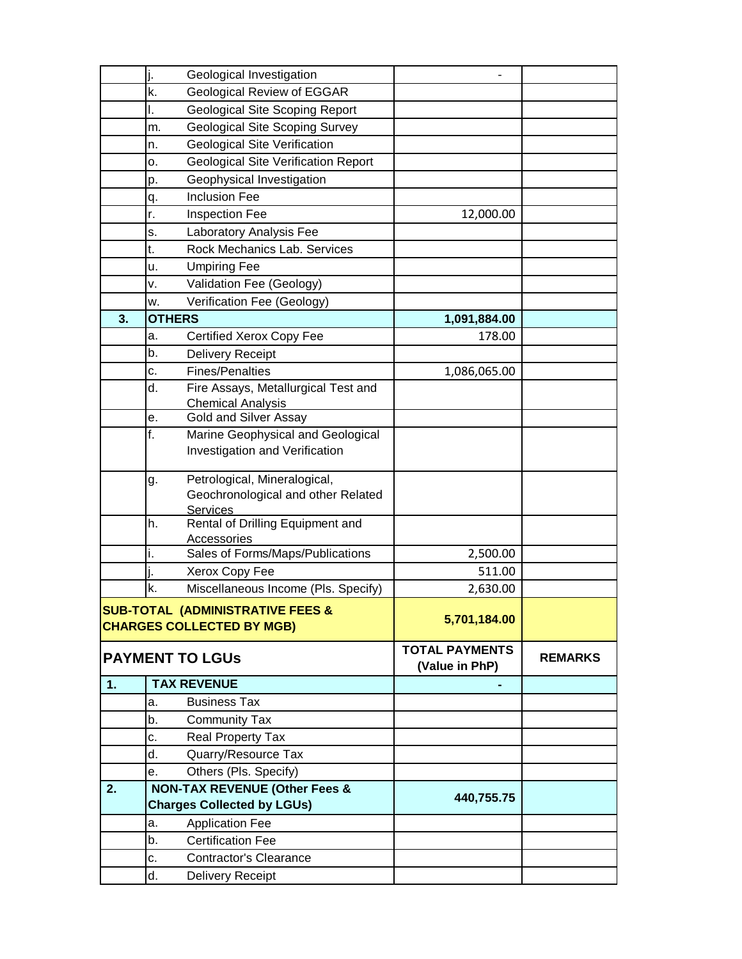|                                                                      |                                                                               | Geological Investigation                                                              |                                         |                |
|----------------------------------------------------------------------|-------------------------------------------------------------------------------|---------------------------------------------------------------------------------------|-----------------------------------------|----------------|
|                                                                      | k.                                                                            | Geological Review of EGGAR                                                            |                                         |                |
|                                                                      | ı.                                                                            | <b>Geological Site Scoping Report</b>                                                 |                                         |                |
|                                                                      | m.                                                                            | <b>Geological Site Scoping Survey</b>                                                 |                                         |                |
|                                                                      | n.                                                                            | <b>Geological Site Verification</b>                                                   |                                         |                |
|                                                                      | ο.                                                                            | <b>Geological Site Verification Report</b>                                            |                                         |                |
|                                                                      | р.                                                                            | Geophysical Investigation                                                             |                                         |                |
|                                                                      | q.                                                                            | <b>Inclusion Fee</b>                                                                  |                                         |                |
|                                                                      | r.                                                                            | <b>Inspection Fee</b>                                                                 | 12,000.00                               |                |
|                                                                      | s.                                                                            | Laboratory Analysis Fee                                                               |                                         |                |
|                                                                      | t.                                                                            | Rock Mechanics Lab. Services                                                          |                                         |                |
|                                                                      | u.                                                                            | <b>Umpiring Fee</b>                                                                   |                                         |                |
|                                                                      | v.                                                                            | Validation Fee (Geology)                                                              |                                         |                |
|                                                                      | w.                                                                            | Verification Fee (Geology)                                                            |                                         |                |
| 3.                                                                   | <b>OTHERS</b>                                                                 |                                                                                       | 1,091,884.00                            |                |
|                                                                      | a.                                                                            | <b>Certified Xerox Copy Fee</b>                                                       | 178.00                                  |                |
|                                                                      | b.                                                                            | <b>Delivery Receipt</b>                                                               |                                         |                |
|                                                                      | c.                                                                            | <b>Fines/Penalties</b>                                                                | 1,086,065.00                            |                |
|                                                                      | d.                                                                            | Fire Assays, Metallurgical Test and                                                   |                                         |                |
|                                                                      |                                                                               | <b>Chemical Analysis</b>                                                              |                                         |                |
|                                                                      | e.                                                                            | <b>Gold and Silver Assay</b>                                                          |                                         |                |
|                                                                      | f.                                                                            | Marine Geophysical and Geological<br>Investigation and Verification                   |                                         |                |
|                                                                      | g.                                                                            | Petrological, Mineralogical,<br>Geochronological and other Related<br><b>Services</b> |                                         |                |
|                                                                      | h.                                                                            | Rental of Drilling Equipment and<br>Accessories                                       |                                         |                |
|                                                                      | i.                                                                            | Sales of Forms/Maps/Publications                                                      | 2,500.00                                |                |
|                                                                      |                                                                               | Xerox Copy Fee                                                                        | 511.00                                  |                |
|                                                                      | k.                                                                            | Miscellaneous Income (Pls. Specify)                                                   | 2,630.00                                |                |
| SUB-TOTAL (ADMINISTRATIVE FEES &<br><b>CHARGES COLLECTED BY MGB)</b> |                                                                               |                                                                                       | 5,701,184.00                            |                |
| <b>PAYMENT TO LGUS</b>                                               |                                                                               |                                                                                       | <b>TOTAL PAYMENTS</b><br>(Value in PhP) | <b>REMARKS</b> |
| 1.                                                                   | <b>TAX REVENUE</b>                                                            |                                                                                       |                                         |                |
|                                                                      | a.                                                                            | <b>Business Tax</b>                                                                   |                                         |                |
|                                                                      | b.                                                                            | <b>Community Tax</b>                                                                  |                                         |                |
|                                                                      | c.                                                                            | Real Property Tax                                                                     |                                         |                |
|                                                                      | d.                                                                            | Quarry/Resource Tax                                                                   |                                         |                |
|                                                                      | е.                                                                            | Others (Pls. Specify)                                                                 |                                         |                |
| 2.                                                                   | <b>NON-TAX REVENUE (Other Fees &amp;</b><br><b>Charges Collected by LGUs)</b> |                                                                                       | 440,755.75                              |                |
|                                                                      | а.                                                                            | <b>Application Fee</b>                                                                |                                         |                |
|                                                                      | b.                                                                            | <b>Certification Fee</b>                                                              |                                         |                |
|                                                                      | c.                                                                            | <b>Contractor's Clearance</b>                                                         |                                         |                |
|                                                                      | d.                                                                            | Delivery Receipt                                                                      |                                         |                |
|                                                                      |                                                                               |                                                                                       |                                         |                |